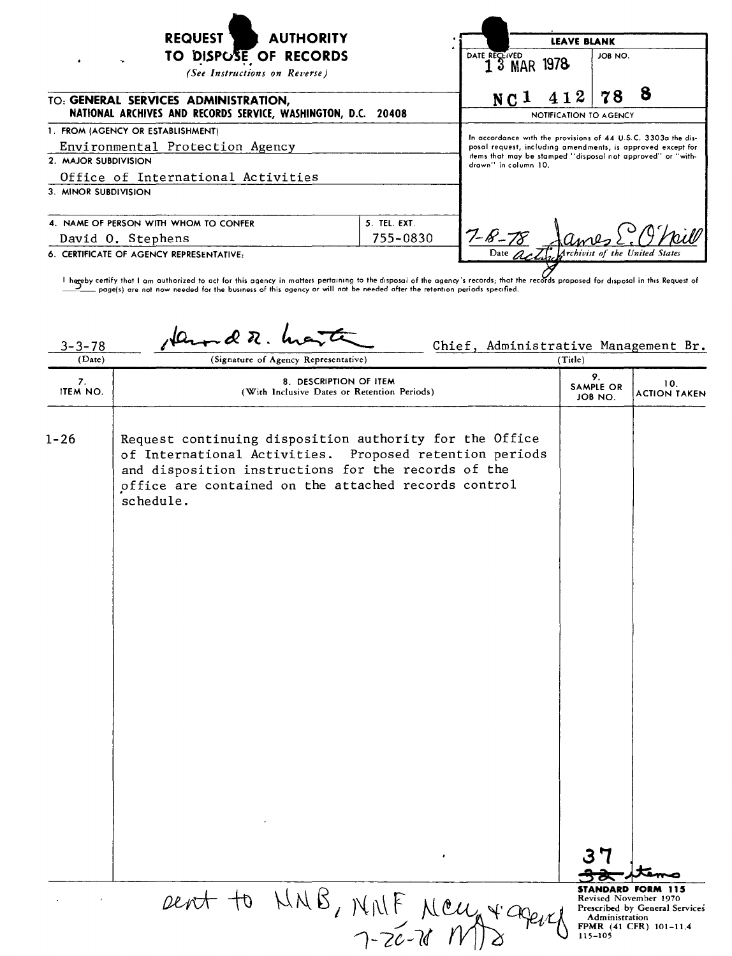| <b>REQUEST</b><br><b>AUTHORITY</b>                                                                    | <b>LEAVE BLANK</b> |                                                                                                                                                                                                                     |                                                |
|-------------------------------------------------------------------------------------------------------|--------------------|---------------------------------------------------------------------------------------------------------------------------------------------------------------------------------------------------------------------|------------------------------------------------|
| TO DISPUSE OF RECORDS<br>(See Instructions on Reverse)                                                |                    | DATE RECEIVED<br>1 3 MAR 1978                                                                                                                                                                                       | JOB NO.                                        |
| TO: GENERAL SERVICES ADMINISTRATION,<br>NATIONAL ARCHIVES AND RECORDS SERVICE, WASHINGTON, D.C. 20408 |                    | 412<br>NC <sub>1</sub>                                                                                                                                                                                              | ö<br>78<br>NOTIFICATION TO AGENCY              |
| 1. FROM (AGENCY OR ESTABLISHMENT)                                                                     |                    |                                                                                                                                                                                                                     |                                                |
| Environmental Protection Agency<br>2. MAJOR SUBDIVISION                                               |                    | In accordance with the provisions of 44 U.S.C. 3303a the dis-<br>posal request, including amendments, is approved except for<br>items that may be stamped "disposal not approved" or "with-<br>drawn" in column 10. |                                                |
|                                                                                                       |                    |                                                                                                                                                                                                                     |                                                |
| 3. MINOR SUBDIVISION                                                                                  |                    |                                                                                                                                                                                                                     |                                                |
| 4. NAME OF PERSON WITH WHOM TO CONFER                                                                 | 5. TEL. EXT.       |                                                                                                                                                                                                                     |                                                |
| David O. Stephens                                                                                     | 755-0830           | $7 - 8 - 78$                                                                                                                                                                                                        |                                                |
| 6. CERTIFICATE OF AGENCY REPRESENTATIVE:                                                              |                    |                                                                                                                                                                                                                     | Date <i>Art</i> Archivist of the United States |

herreby certify that I am authorized to act for this agency in matters pertaining to the disposal of the agency's records; that the records proposed for disposal in this Request of the besiness of this agency or will not b

| $3 - 3 - 78$<br>(Date) | Chief, Administrative Management Br.<br>(Signature of Agency Representative)                                                                                                                                                                   | (Title)                           |                                                                                                        |
|------------------------|------------------------------------------------------------------------------------------------------------------------------------------------------------------------------------------------------------------------------------------------|-----------------------------------|--------------------------------------------------------------------------------------------------------|
| 7.<br>ITEM NO.         | 8. DESCRIPTION OF ITEM<br>(With Inclusive Dates or Retention Periods)                                                                                                                                                                          | 9.<br><b>SAMPLE OR</b><br>JOB NO. | 10.<br><b>ACTION TAKEN</b>                                                                             |
| $1 - 26$               | Request continuing disposition authority for the Office<br>of International Activities. Proposed retention periods<br>and disposition instructions for the records of the<br>office are contained on the attached records control<br>schedule. |                                   |                                                                                                        |
|                        |                                                                                                                                                                                                                                                |                                   |                                                                                                        |
|                        |                                                                                                                                                                                                                                                |                                   |                                                                                                        |
|                        |                                                                                                                                                                                                                                                |                                   |                                                                                                        |
|                        | Dent to NNB, MNF MCU + agence                                                                                                                                                                                                                  | Administration<br>$115 - 105$     | STANDARD FORM 115<br>Revised November 1970<br>Prescribed by General Services<br>FPMR (41 CFR) 101-11.4 |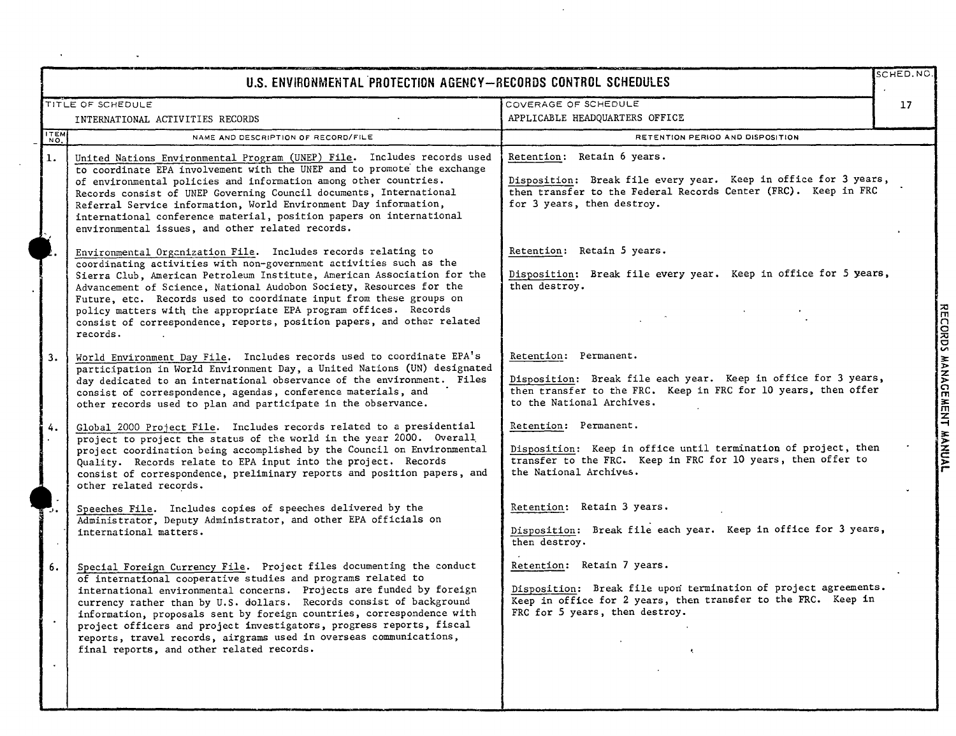|             | U.S. ENVIRONMENTAL PROTECTION AGENCY-RECORDS CONTROL SCHEDULES                                                                                                                                                                                                                                                                                                                                                                                                                                                                                          |                                                                                                                                                                                                  | SCHED.NO        |
|-------------|---------------------------------------------------------------------------------------------------------------------------------------------------------------------------------------------------------------------------------------------------------------------------------------------------------------------------------------------------------------------------------------------------------------------------------------------------------------------------------------------------------------------------------------------------------|--------------------------------------------------------------------------------------------------------------------------------------------------------------------------------------------------|-----------------|
|             | TITLE OF SCHEDULE<br>INTERNATIONAL ACTIVITIES RECORDS                                                                                                                                                                                                                                                                                                                                                                                                                                                                                                   | COVERAGE OF SCHEDULE<br>APPLICABLE HEADQUARTERS OFFICE                                                                                                                                           | 17 <sup>2</sup> |
| <b>ITEM</b> | NAME AND DESCRIPTION OF RECORD/FILE                                                                                                                                                                                                                                                                                                                                                                                                                                                                                                                     | RETENTION PERIOD AND DISPOSITION                                                                                                                                                                 |                 |
| 1.          | United Nations Environmental Program (UNEP) File. Includes records used<br>to coordinate EPA involvement with the UNEP and to promote the exchange<br>of environmental policies and information among other countries.<br>Records consist of UNEP Governing Council documents, International<br>Referral Service information, World Environment Day information,<br>international conference material, position papers on international<br>environmental issues, and other related records.                                                             | Retention: Retain 6 years.<br>Disposition: Break file every year. Keep in office for 3 years,<br>then transfer to the Federal Records Center (FRC). Keep in FRC<br>for 3 years, then destroy.    |                 |
|             | Environmental Organization File. Includes records relating to<br>coordinating activities with non-government activities such as the<br>Sierra Club, American Petroleum Institute, American Association for the<br>Advancement of Science, National Audobon Society, Resources for the<br>Future, etc. Records used to coordinate input from these groups on<br>policy matters with the appropriate EPA program offices. Records<br>consist of correspondence, reports, position papers, and other related<br>records.                                   | Retention: Retain 5 years.<br>Disposition: Break file every year. Keep in office for 5 years,<br>then destroy.                                                                                   |                 |
| 3.          | World Environment Day File. Includes records used to coordinate EPA's<br>participation in World Environment Day, a United Nations (UN) designated<br>day dedicated to an international observance of the environment. Files<br>consist of correspondence, agendas, conference materials, and<br>other records used to plan and participate in the observance.                                                                                                                                                                                           | Retention: Permanent.<br>Disposition: Break file each year. Keep in office for 3 years,<br>then transfer to the FRC. Keep in FRC for 10 years, then offer<br>to the National Archives.           |                 |
| 4.          | Global 2000 Project File. Includes records related to a presidential<br>project to project the status of the world in the year 2000. Overall<br>project coordination being accomplished by the Council on Environmental<br>Quality. Records relate to EPA input into the project. Records<br>consist of correspondence, preliminary reports and position papers, and<br>other related records.                                                                                                                                                          | Retention: Permanent.<br>Disposition: Keep in office until termination of project, then<br>transfer to the FRC. Keep in FRC for 10 years, then offer to<br>the National Archives.                |                 |
|             | Speeches File. Includes copies of speeches delivered by the<br>Administrator, Deputy Administrator, and other EPA officials on<br>international matters.                                                                                                                                                                                                                                                                                                                                                                                                | Retention: Retain 3 years.<br>Disposition: Break file each year. Keep in office for 3 years,<br>then destroy.                                                                                    |                 |
| 6.          | Special Foreign Currency File. Project files documenting the conduct<br>of international cooperative studies and programs related to<br>international environmental concerns. Projects are funded by foreign<br>currency rather than by U.S. dollars. Records consist of background<br>information, proposals sent by foreign countries, correspondence with<br>project officers and project investigators, progress reports, fiscal<br>reports, travel records, airgrams used in overseas communications,<br>final reports, and other related records. | Retention: Retain 7 years.<br>Disposition: Break file upon termination of project agreements.<br>Keep in office for 2 years, then transfer to the FRC. Keep in<br>FRC for 5 years, then destroy. |                 |

 $\ddot{\phantom{1}}$ 

 $\tilde{\phantom{a}}$ 

 $\hat{\mathcal{A}}$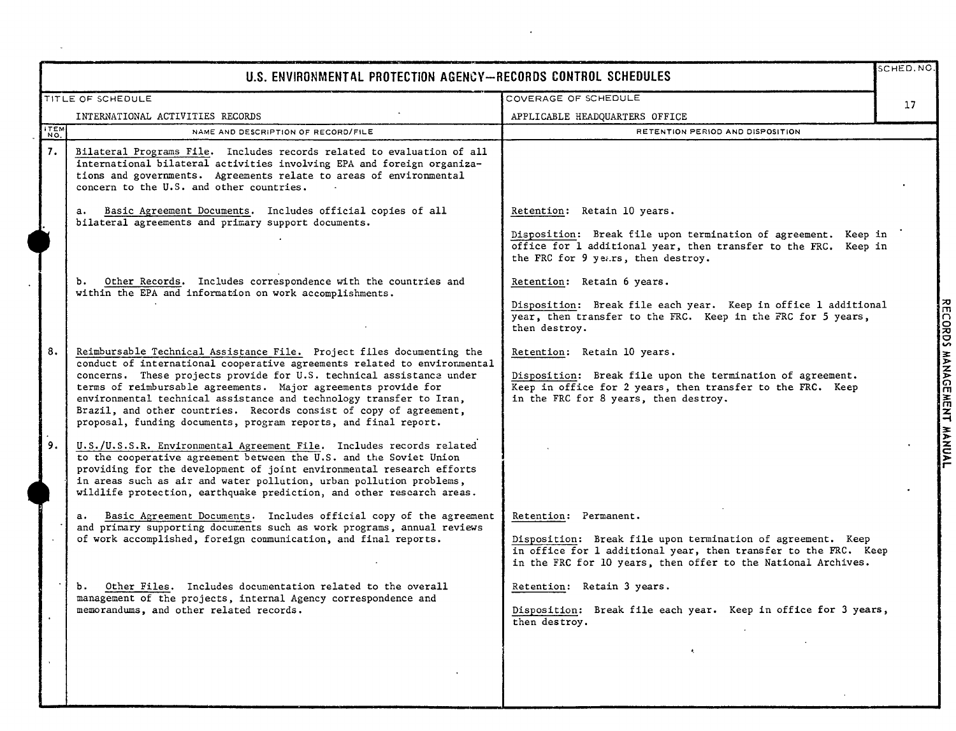|             | U.S. ENVIRONMENTAL PROTECTION AGENCY-RECORDS CONTROL SCHEDULES                                                                                                                                                                                                                                                                                                                                                                                                                                              |                                                                                                                                                                                                                          | SCHED.NO        |
|-------------|-------------------------------------------------------------------------------------------------------------------------------------------------------------------------------------------------------------------------------------------------------------------------------------------------------------------------------------------------------------------------------------------------------------------------------------------------------------------------------------------------------------|--------------------------------------------------------------------------------------------------------------------------------------------------------------------------------------------------------------------------|-----------------|
|             | TITLE OF SCHEDULE                                                                                                                                                                                                                                                                                                                                                                                                                                                                                           | COVERAGE OF SCHEDULE                                                                                                                                                                                                     | 17 <sup>2</sup> |
|             | INTERNATIONAL ACTIVITIES RECORDS                                                                                                                                                                                                                                                                                                                                                                                                                                                                            | APPLICABLE HEADQUARTERS OFFICE                                                                                                                                                                                           |                 |
| ITEM<br>NO. | NAME AND DESCRIPTION OF RECORD/FILE                                                                                                                                                                                                                                                                                                                                                                                                                                                                         | RETENTION PERIOD AND DISPOSITION                                                                                                                                                                                         |                 |
| 7.          | Bilateral Programs File. Includes records related to evaluation of all<br>international bilateral activities involving EPA and foreign organiza-<br>tions and governments. Agreements relate to areas of environmental<br>concern to the U.S. and other countries.                                                                                                                                                                                                                                          |                                                                                                                                                                                                                          |                 |
|             | Basic Agreement Documents. Includes official copies of all<br>$a_{\bullet}$<br>bilateral agreements and primary support documents.                                                                                                                                                                                                                                                                                                                                                                          | Retention: Retain 10 years.<br>Disposition: Break file upon termination of agreement. Keep in<br>office for 1 additional year, then transfer to the FRC. Keep in<br>the FRC for 9 years, then destroy.                   |                 |
|             | b. Other Records. Includes correspondence with the countries and<br>within the EPA and information on work accomplishments.                                                                                                                                                                                                                                                                                                                                                                                 | Retention: Retain 6 years.<br>Disposition: Break file each year. Keep in office 1 additional<br>year, then transfer to the FRC. Keep in the FRC for 5 years,<br>then destroy.                                            |                 |
| 8.          | Reimbursable Technical Assistance File. Project files documenting the<br>conduct of international cooperative agreements related to environmental<br>concerns. These projects provide for U.S. technical assistance under<br>terms of reimbursable agreements. Major agreements provide for<br>environmental technical assistance and technology transfer to Iran,<br>Brazil, and other countries. Records consist of copy of agreement,<br>proposal, funding documents, program reports, and final report. | Retention: Retain 10 years.<br>Disposition: Break file upon the termination of agreement.<br>Keep in office for 2 years, then transfer to the FRC. Keep<br>in the FRC for 8 years, then destroy.                         |                 |
| 9.          | U.S./U.S.S.R. Environmental Agreement File. Includes records related<br>to the cooperative agreement between the U.S. and the Soviet Union<br>providing for the development of joint environmental research efforts<br>in areas such as air and water pollution, urban pollution problems,<br>wildlife protection, earthquake prediction, and other research areas.                                                                                                                                         |                                                                                                                                                                                                                          |                 |
|             | Basic Agreement Documents. Includes official copy of the agreement<br>a.<br>and primary supporting documents such as work programs, annual reviews<br>of work accomplished, foreign communication, and final reports.                                                                                                                                                                                                                                                                                       | Retention: Permanent.<br>Disposition: Break file upon termination of agreement. Keep<br>in office for 1 additional year, then transfer to the FRC. Keep<br>in the FRC for 10 years, then offer to the National Archives. |                 |
|             | Other Files. Includes documentation related to the overall<br>Ъ.<br>management of the projects, internal Agency correspondence and<br>memorandums, and other related records.                                                                                                                                                                                                                                                                                                                               | Retention: Retain 3 years.<br>Disposition: Break file each year. Keep in office for 3 years,<br>then destroy.                                                                                                            |                 |
|             |                                                                                                                                                                                                                                                                                                                                                                                                                                                                                                             | $\bullet$                                                                                                                                                                                                                |                 |

ä,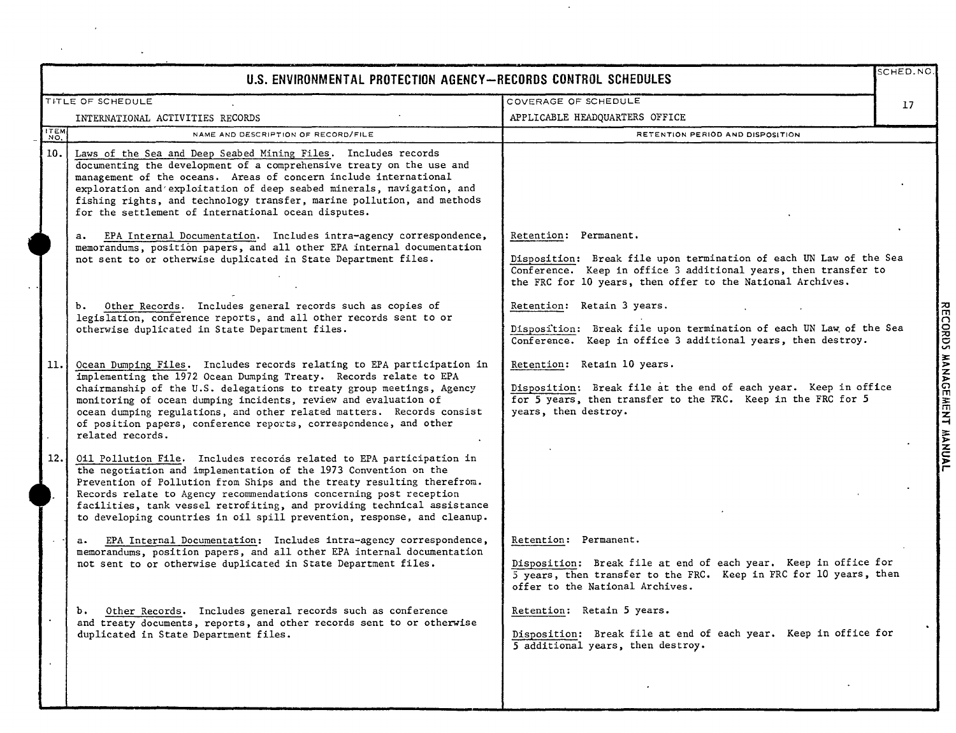| U.S. ENVIRONMENTAL PROTECTION AGENCY-RECORDS CONTROL SCHEDULES |                                                                                                                                                                                                                                                                                                                                                                                                                                                           |                                                                                                                                                                                                                              | SCHED.NO. |
|----------------------------------------------------------------|-----------------------------------------------------------------------------------------------------------------------------------------------------------------------------------------------------------------------------------------------------------------------------------------------------------------------------------------------------------------------------------------------------------------------------------------------------------|------------------------------------------------------------------------------------------------------------------------------------------------------------------------------------------------------------------------------|-----------|
|                                                                | TITLE OF SCHEDULE                                                                                                                                                                                                                                                                                                                                                                                                                                         | COVERAGE OF SCHEDULE                                                                                                                                                                                                         | 17        |
|                                                                | INTERNATIONAL ACTIVITIES RECORDS                                                                                                                                                                                                                                                                                                                                                                                                                          | APPLICABLE HEADQUARTERS OFFICE                                                                                                                                                                                               |           |
| ITEM                                                           | NAME AND DESCRIPTION OF RECORD/FILE                                                                                                                                                                                                                                                                                                                                                                                                                       | RETENTION PERIOD AND DISPOSITION                                                                                                                                                                                             |           |
| 10.                                                            | Laws of the Sea and Deep Seabed Mining Files. Includes records<br>documenting the development of a comprehensive treaty on the use and<br>management of the oceans. Areas of concern include international<br>exploration and exploitation of deep seabed minerals, navigation, and<br>fishing rights, and technology transfer, marine pollution, and methods<br>for the settlement of international ocean disputes.                                      |                                                                                                                                                                                                                              |           |
|                                                                | a. EPA Internal Documentation. Includes intra-agency correspondence,<br>memorandums, position papers, and all other EPA internal documentation<br>not sent to or otherwise duplicated in State Department files.                                                                                                                                                                                                                                          | Retention: Permanent.<br>Disposition: Break file upon termination of each UN Law of the Sea<br>Conference. Keep in office 3 additional years, then transfer to<br>the FRC for 10 years, then offer to the National Archives. |           |
|                                                                | b. Other Records. Includes general records such as copies of<br>legislation, conference reports, and all other records sent to or<br>otherwise duplicated in State Department files.                                                                                                                                                                                                                                                                      | Retention: Retain 3 years.<br>Disposition: Break file upon termination of each UN Law of the Sea<br>Conference. Keep in office 3 additional years, then destroy.                                                             |           |
| 11.                                                            | Ocean Dumping Files. Includes records relating to EPA participation in<br>implementing the 1972 Ocean Dumping Treaty. Records relate to EPA<br>chairmanship of the U.S. delegations to treaty group meetings, Agency<br>monitoring of ocean dumping incidents, review and evaluation of<br>ocean dumping regulations, and other related matters. Records consist<br>of position papers, conference reports, correspondence, and other<br>related records. | Retention: Retain 10 years.<br>Disposition: Break file at the end of each year. Keep in office<br>for 5 years, then transfer to the FRC. Keep in the FRC for 5<br>years, then destroy.                                       |           |
| 12.1                                                           | Oil Pollution File. Includes recorás related to EPA participation in<br>the negotiation and implementation of the 1973 Convention on the<br>Prevention of Pollution from Ships and the treaty resulting therefrom.<br>Records relate to Agency recommendations concerning post reception<br>facilities, tank vessel retrofiting, and providing technical assistance<br>to developing countries in oil spill prevention, response, and cleanup.            |                                                                                                                                                                                                                              |           |
|                                                                | EPA Internal Documentation: Includes intra-agency correspondence,<br>a.<br>memorandums, position papers, and all other EPA internal documentation<br>not sent to or otherwise duplicated in State Department files.                                                                                                                                                                                                                                       | Retention: Permanent.<br>Disposition: Break file at end of each year. Keep in office for<br>5 years, then transfer to the FRC. Keep in FRC for 10 years, then<br>offer to the National Archives.                             |           |
|                                                                | Other Records. Includes general records such as conference<br><b>b.</b><br>and treaty documents, reports, and other records sent to or otherwise<br>duplicated in State Department files.                                                                                                                                                                                                                                                                 | Retention: Retain 5 years.<br>Disposition: Break file at end of each year. Keep in office for<br>5 additional years, then destroy.                                                                                           |           |
|                                                                |                                                                                                                                                                                                                                                                                                                                                                                                                                                           |                                                                                                                                                                                                                              |           |

 $\mathcal{L}_{\mathcal{A}}$ 

l.

 $\bar{z}$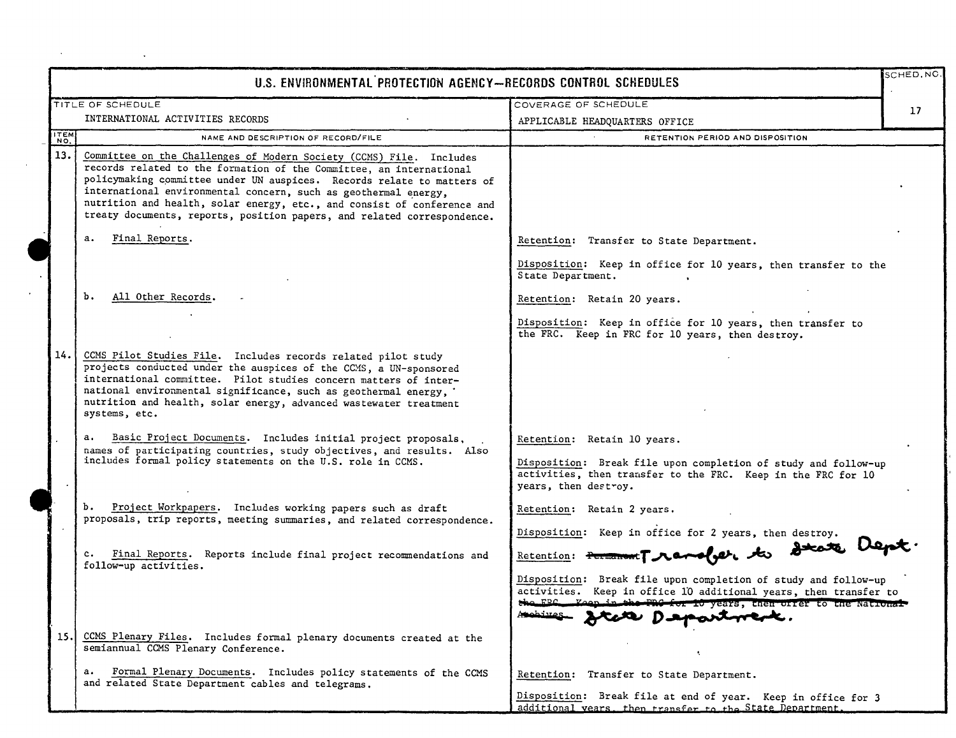|            | U.S. ENVIRONMENTAL PROTECTION AGENCY-RECORDS CONTROL SCHEDULES                                                                                                                                                                                                                                                                                                                                                                                |                                                                                                                                                                                                                                                                                                                            | SCHED, NC.      |
|------------|-----------------------------------------------------------------------------------------------------------------------------------------------------------------------------------------------------------------------------------------------------------------------------------------------------------------------------------------------------------------------------------------------------------------------------------------------|----------------------------------------------------------------------------------------------------------------------------------------------------------------------------------------------------------------------------------------------------------------------------------------------------------------------------|-----------------|
|            | TITLE OF SCHEDULE                                                                                                                                                                                                                                                                                                                                                                                                                             | COVERAGE OF SCHEDULE                                                                                                                                                                                                                                                                                                       | 17 <sup>2</sup> |
|            | INTERNATIONAL ACTIVITIES RECORDS                                                                                                                                                                                                                                                                                                                                                                                                              | APPLICABLE HEADQUARTERS OFFICE                                                                                                                                                                                                                                                                                             |                 |
| <b>TEM</b> | NAME AND DESCRIPTION OF RECORD/FILE                                                                                                                                                                                                                                                                                                                                                                                                           | RETENTION PERIOD AND DISPOSITION                                                                                                                                                                                                                                                                                           |                 |
| 13.        | Committee on the Challenges of Modern Society (CCMS) File. Includes<br>records related to the formation of the Committee, an international<br>policymaking committee under UN auspices. Records relate to matters of<br>international environmental concern, such as geothermal energy,<br>nutrition and health, solar energy, etc., and consist of conference and<br>treaty documents, reports, position papers, and related correspondence. |                                                                                                                                                                                                                                                                                                                            |                 |
|            | Final Reports.<br>a.                                                                                                                                                                                                                                                                                                                                                                                                                          | Retention: Transfer to State Department.                                                                                                                                                                                                                                                                                   |                 |
|            |                                                                                                                                                                                                                                                                                                                                                                                                                                               | Disposition: Keep in office for 10 years, then transfer to the<br>State Department.                                                                                                                                                                                                                                        |                 |
|            | ъ.<br>All Other Records.                                                                                                                                                                                                                                                                                                                                                                                                                      | Retention: Retain 20 years.                                                                                                                                                                                                                                                                                                |                 |
|            |                                                                                                                                                                                                                                                                                                                                                                                                                                               | Disposition: Keep in office for 10 years, then transfer to<br>the FRC. Keep in FRC for 10 years, then destroy.                                                                                                                                                                                                             |                 |
| 14.        | CCMS Pilot Studies File. Includes records related pilot study<br>projects conducted under the auspices of the CCMS, a UN-sponsored<br>international committee. Pilot studies concern matters of inter-<br>national environmental significance, such as geothermal energy,<br>nutrition and health, solar energy, advanced wastewater treatment<br>systems, etc.                                                                               |                                                                                                                                                                                                                                                                                                                            |                 |
|            | a.<br>Basic Project Documents. Includes initial project proposals,<br>names of participating countries, study objectives, and results. Also<br>includes formal policy statements on the U.S. role in CCMS.                                                                                                                                                                                                                                    | Retention: Retain 10 years.<br>Disposition: Break file upon completion of study and follow-up<br>activities, then transfer to the FRC. Keep in the FRC for 10<br>years, then destroy.                                                                                                                                      |                 |
|            | b. Project Workpapers. Includes working papers such as draft<br>proposals, trip reports, meeting summaries, and related correspondence.                                                                                                                                                                                                                                                                                                       | Retention: Retain 2 years.                                                                                                                                                                                                                                                                                                 |                 |
|            | c. Final Reports. Reports include final project recommendations and<br>follow-up activities.                                                                                                                                                                                                                                                                                                                                                  | Disposition: Keep in office for 2 years, then destroy.<br>Retention: Forward Marcher, to Decote Dep<br>Disposition: Break file upon completion of study and follow-up<br>activities. Keep in office 10 additional years, then transfer to<br>the FBC Keep in the FBC for 10 years, then offer to the National<br>Atehines. |                 |
| 15.        | CCMS Plenary Files. Includes formal plenary documents created at the<br>semiannual CCMS Plenary Conference.                                                                                                                                                                                                                                                                                                                                   |                                                                                                                                                                                                                                                                                                                            |                 |
|            | Formal Plenary Documents. Includes policy statements of the CCMS<br>$\mathbf{a}$ .<br>and related State Department cables and telegrams.                                                                                                                                                                                                                                                                                                      | Retention: Transfer to State Department.<br>Disposition: Break file at end of year. Keep in office for 3<br>additional works, then twensfer as the State Department                                                                                                                                                        |                 |

 $\mathcal{L}_{\text{max}}$  and  $\mathcal{L}_{\text{max}}$  and  $\mathcal{L}_{\text{max}}$  and  $\mathcal{L}_{\text{max}}$ 

 $\ddot{\phantom{a}}$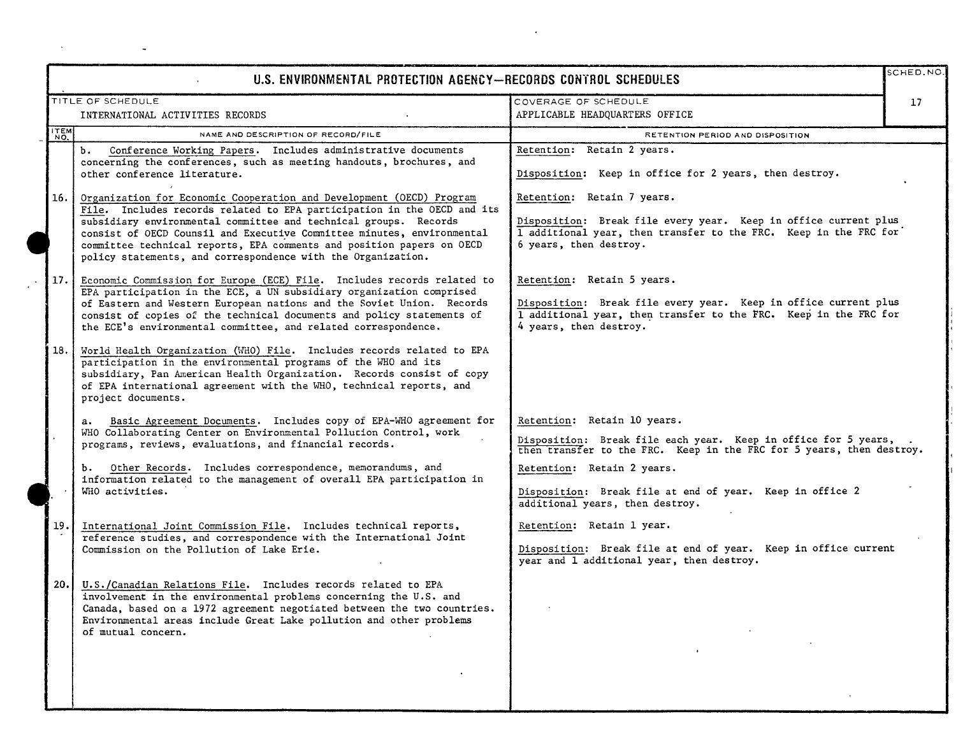|      | U.S. ENVIRONMENTAL PROTECTION AGENCY-RECORDS CONTROL SCHEDULES                                                                                                                                                                                                                                                                                                                                                                         |                                                                                                                                                                                             | SCHED.NO. |
|------|----------------------------------------------------------------------------------------------------------------------------------------------------------------------------------------------------------------------------------------------------------------------------------------------------------------------------------------------------------------------------------------------------------------------------------------|---------------------------------------------------------------------------------------------------------------------------------------------------------------------------------------------|-----------|
|      | TITLE OF SCHEDULE<br>INTERNATIONAL ACTIVITIES RECORDS                                                                                                                                                                                                                                                                                                                                                                                  | COVERAGE OF SCHEDULE<br>APPLICABLE HEADQUARTERS OFFICE                                                                                                                                      | 17        |
| ITEM | NAME AND DESCRIPTION OF RECORD/FILE                                                                                                                                                                                                                                                                                                                                                                                                    | RETENTION PERIOD AND DISPOSITION                                                                                                                                                            |           |
|      | Conference Working Papers. Includes administrative documents<br>b.<br>concerning the conferences, such as meeting handouts, brochures, and<br>other conference literature.                                                                                                                                                                                                                                                             | Retention: Retain 2 years.<br>Disposition: Keep in office for 2 years, then destroy.                                                                                                        |           |
| 16.  | Organization for Economic Cooperation and Development (OECD) Program<br>File. Includes records related to EPA participation in the OECD and its<br>subsidiary environmental committee and technical groups. Records<br>consist of OECD Counsil and Executive Committee minutes, environmental<br>committee technical reports, EPA comments and position papers on OECD<br>policy statements, and correspondence with the Organization. | Retention: Retain 7 years.<br>Disposition: Break file every year. Keep in office current plus<br>1 additional year, then transfer to the FRC. Keep in the FRC for<br>6 years, then destroy. |           |
| 17.  | Economic Commission for Europe (ECE) File. Includes records related to<br>EPA participation in the ECE, a UN subsidiary organization comprised<br>of Eastern and Western European nations and the Soviet Union. Records<br>consist of copies of the technical documents and policy statements of<br>the ECE's environmental committee, and related correspondence.                                                                     | Retention: Retain 5 years.<br>Disposition: Break file every year. Keep in office current plus<br>1 additional year, then transfer to the FRC. Keep in the FRC for<br>4 years, then destroy. |           |
| 18.  | World Health Organization (WHO) File. Includes records related to EPA<br>participation in the environmental programs of the WHO and its<br>subsidiary, Pan American Health Organization. Records consist of copy<br>of EPA international agreement with the WHO, technical reports, and<br>project documents.                                                                                                                          |                                                                                                                                                                                             |           |
|      | Basic Agreement Documents. Includes copy of EPA-WHO agreement for<br>$a_{\bullet}$<br>WHO Collaborating Center on Environmental Pollucion Control, work<br>programs, reviews, evaluations, and financial records.                                                                                                                                                                                                                      | Retention: Retain 10 years.<br>Disposition: Break file each year. Keep in office for 5 years,<br>then transfer to the FRC. Keep in the FRC for 5 years, then destroy.                       |           |
|      | b. Other Records. Includes correspondence, memorandums, and<br>information related to the management of overall EPA participation in<br>WHO activities.                                                                                                                                                                                                                                                                                | Retention: Retain 2 years.<br>Disposition: Break file at end of year. Keep in office 2<br>additional years, then destroy.                                                                   |           |
| 19.  | International Joint Commission File. Includes technical reports,<br>reference studies, and correspondence with the International Joint<br>Commission on the Pollution of Lake Erie.                                                                                                                                                                                                                                                    | Retention: Retain 1 year.<br>Disposition: Break file at end of year. Keep in office current<br>year and 1 additional year, then destroy.                                                    |           |
| 20.  | U.S./Canadian Relations File. Includes records related to EPA<br>involvement in the environmental problems concerning the U.S. and<br>Canada, based on a 1972 agreement negotiated between the two countries.<br>Environmental areas include Great Lake pollution and other problems<br>of mutual concern.                                                                                                                             |                                                                                                                                                                                             |           |

 $\mathcal{L}(\mathcal{L}^{\mathcal{L}})$  and  $\mathcal{L}(\mathcal{L}^{\mathcal{L}})$  and  $\mathcal{L}(\mathcal{L}^{\mathcal{L}})$ 

 $\mathcal{O}(\mathcal{O}_\mathcal{O})$  . The set of the set of  $\mathcal{O}_\mathcal{O}$ 

 $\mathbb{R}^3$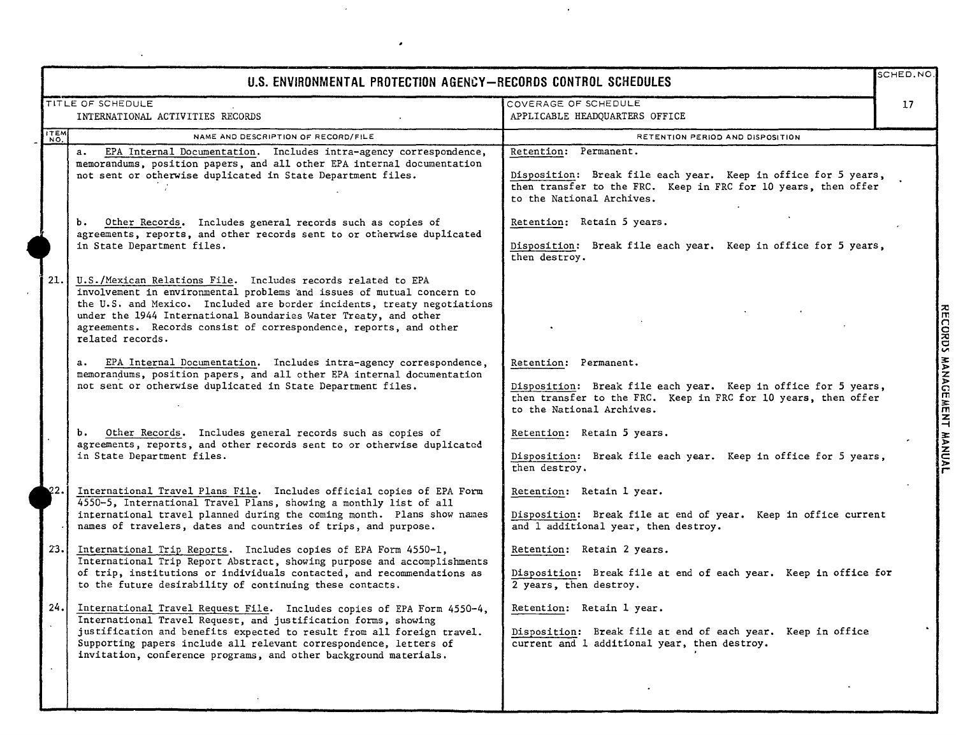|             | U.S. ENVIRONMENTAL PROTECTION AGENCY-RECORDS CONTROL SCHEDULES                                                                                                                                                                                                                                                                                                               |                                                                                                                                                                                        | SCHED, NO.                     |
|-------------|------------------------------------------------------------------------------------------------------------------------------------------------------------------------------------------------------------------------------------------------------------------------------------------------------------------------------------------------------------------------------|----------------------------------------------------------------------------------------------------------------------------------------------------------------------------------------|--------------------------------|
|             | TITLE OF SCHEDULE<br>INTERNATIONAL ACTIVITIES RECORDS                                                                                                                                                                                                                                                                                                                        | COVERAGE OF SCHEDULE<br>APPLICABLE HEADQUARTERS OFFICE                                                                                                                                 | 17                             |
| <b>ITEM</b> | NAME AND DESCRIPTION OF RECORD/FILE                                                                                                                                                                                                                                                                                                                                          | RETENTION PERIOD AND DISPOSITION                                                                                                                                                       |                                |
|             | a. EPA Internal Documentation. Includes intra-agency correspondence,<br>memorandums, position papers, and all other EPA internal documentation<br>not sent or otherwise duplicated in State Department files.                                                                                                                                                                | Retention: Permanent.<br>Disposition: Break file each year. Keep in office for 5 years,<br>then transfer to the FRC. Keep in FRC for 10 years, then offer<br>to the National Archives. |                                |
|             | b. Other Records. Includes general records such as copies of<br>agreements, reports, and other records sent to or otherwise duplicated<br>in State Department files.                                                                                                                                                                                                         | Retention: Retain 5 years.<br>Disposition: Break file each year. Keep in office for 5 years,<br>then destroy.                                                                          |                                |
| 21.         | U.S./Mexican Relations File. Includes records related to EPA<br>involvement in environmental problems and issues of mutual concern to<br>the U.S. and Mexico. Included are border incidents, treaty negotiations<br>under the 1944 International Boundaries Water Treaty, and other<br>agreements. Records consist of correspondence, reports, and other<br>related records. |                                                                                                                                                                                        | kDS                            |
|             | a. EPA Internal Documentation. Includes intra-agency correspondence,<br>memorandums, position papers, and all other EPA internal documentation<br>not sent or otherwise duplicated in State Department files.                                                                                                                                                                | Retention: Permanent.<br>Disposition: Break file each year. Keep in office for 5 years,<br>then transfer to the FRC. Keep in FRC for 10 years, then offer<br>to the National Archives. | <b>WA</b><br>ငှ<br><b>MENT</b> |
|             | b. Other Records. Includes general records such as copies of<br>agreements, reports, and other records sent to or otherwise duplicated<br>in State Department files.                                                                                                                                                                                                         | Retention: Retain 5 years.<br>Disposition: Break file each year. Keep in office for 5 years,<br>then destroy.                                                                          |                                |
| 22.         | International Travel Plans File. Includes official copies of EPA Form<br>4550-5, International Travel Plans, showing a monthly list of all<br>international travel planned during the coming month. Plans show names<br>names of travelers, dates and countries of trips, and purpose.                                                                                       | Retention: Retain 1 year.<br>Disposition: Break file at end of year. Keep in office current<br>and 1 additional year, then destroy.                                                    |                                |
| 23.1        | International Trip Reports. Includes copies of EPA Form 4550-1,<br>International Trip Report Abstract, showing purpose and accomplishments<br>of trip, institutions or individuals contacted, and recommendations as<br>to the future desirability of continuing these contacts.                                                                                             | Retention: Retain 2 years.<br>Disposition: Break file at end of each year. Keep in office for<br>2 years, then destroy.                                                                |                                |
| 24.1        | International Travel Request File. Includes copies of EPA Form 4550-4,<br>International Travel Request, and justification forms, showing<br>justification and benefits expected to result from all foreign travel.<br>Supporting papers include all relevant correspondence, letters of<br>invitation, conference programs, and other background materials.                  | Retention: Retain 1 year.<br>Disposition: Break file at end of each year. Keep in office<br>current and 1 additional year, then destroy.                                               |                                |
|             |                                                                                                                                                                                                                                                                                                                                                                              |                                                                                                                                                                                        |                                |

 $\ddot{\phantom{a}}$ 

 $\overline{\phantom{a}}$ 

 $\lambda$